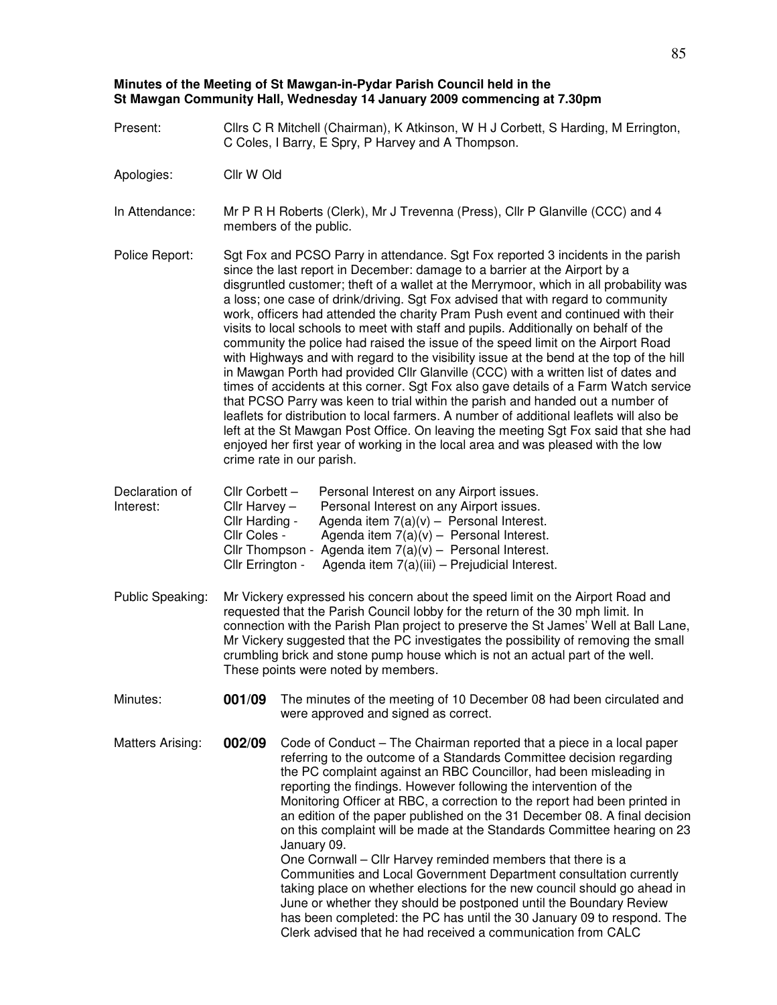## **Minutes of the Meeting of St Mawgan-in-Pydar Parish Council held in the St Mawgan Community Hall, Wednesday 14 January 2009 commencing at 7.30pm**

- Present: Cllrs C R Mitchell (Chairman), K Atkinson, W H J Corbett, S Harding, M Errington, C Coles, I Barry, E Spry, P Harvey and A Thompson.
- Apologies: Cllr W Old
- In Attendance: Mr P R H Roberts (Clerk), Mr J Trevenna (Press), Cllr P Glanville (CCC) and 4 members of the public.

Police Report: Sgt Fox and PCSO Parry in attendance. Sgt Fox reported 3 incidents in the parish since the last report in December: damage to a barrier at the Airport by a disgruntled customer; theft of a wallet at the Merrymoor, which in all probability was a loss; one case of drink/driving. Sgt Fox advised that with regard to community work, officers had attended the charity Pram Push event and continued with their visits to local schools to meet with staff and pupils. Additionally on behalf of the community the police had raised the issue of the speed limit on the Airport Road with Highways and with regard to the visibility issue at the bend at the top of the hill in Mawgan Porth had provided Cllr Glanville (CCC) with a written list of dates and times of accidents at this corner. Sgt Fox also gave details of a Farm Watch service that PCSO Parry was keen to trial within the parish and handed out a number of leaflets for distribution to local farmers. A number of additional leaflets will also be left at the St Mawgan Post Office. On leaving the meeting Sgt Fox said that she had enjoyed her first year of working in the local area and was pleased with the low crime rate in our parish.

| Declaration of | Cllr Corbett $-$ | Personal Interest on any Airport issues.                       |
|----------------|------------------|----------------------------------------------------------------|
| Interest:      | Cllr Harvey $-$  | Personal Interest on any Airport issues.                       |
|                | Cllr Harding -   | Agenda item $7(a)(v)$ – Personal Interest.                     |
|                | Cllr Coles -     | Agenda item $7(a)(v)$ – Personal Interest.                     |
|                |                  | Cllr Thompson - Agenda item $7(a)(v)$ - Personal Interest.     |
|                |                  | Cllr Errington - Agenda item 7(a)(iii) - Prejudicial Interest. |

- Public Speaking: Mr Vickery expressed his concern about the speed limit on the Airport Road and requested that the Parish Council lobby for the return of the 30 mph limit. In connection with the Parish Plan project to preserve the St James' Well at Ball Lane, Mr Vickery suggested that the PC investigates the possibility of removing the small crumbling brick and stone pump house which is not an actual part of the well. These points were noted by members.
- Minutes: **001/09** The minutes of the meeting of 10 December 08 had been circulated and were approved and signed as correct.

Matters Arising: **002/09** Code of Conduct – The Chairman reported that a piece in a local paper referring to the outcome of a Standards Committee decision regarding the PC complaint against an RBC Councillor, had been misleading in reporting the findings. However following the intervention of the Monitoring Officer at RBC, a correction to the report had been printed in an edition of the paper published on the 31 December 08. A final decision on this complaint will be made at the Standards Committee hearing on 23 January 09. One Cornwall – Cllr Harvey reminded members that there is a

Communities and Local Government Department consultation currently taking place on whether elections for the new council should go ahead in June or whether they should be postponed until the Boundary Review has been completed: the PC has until the 30 January 09 to respond. The Clerk advised that he had received a communication from CALC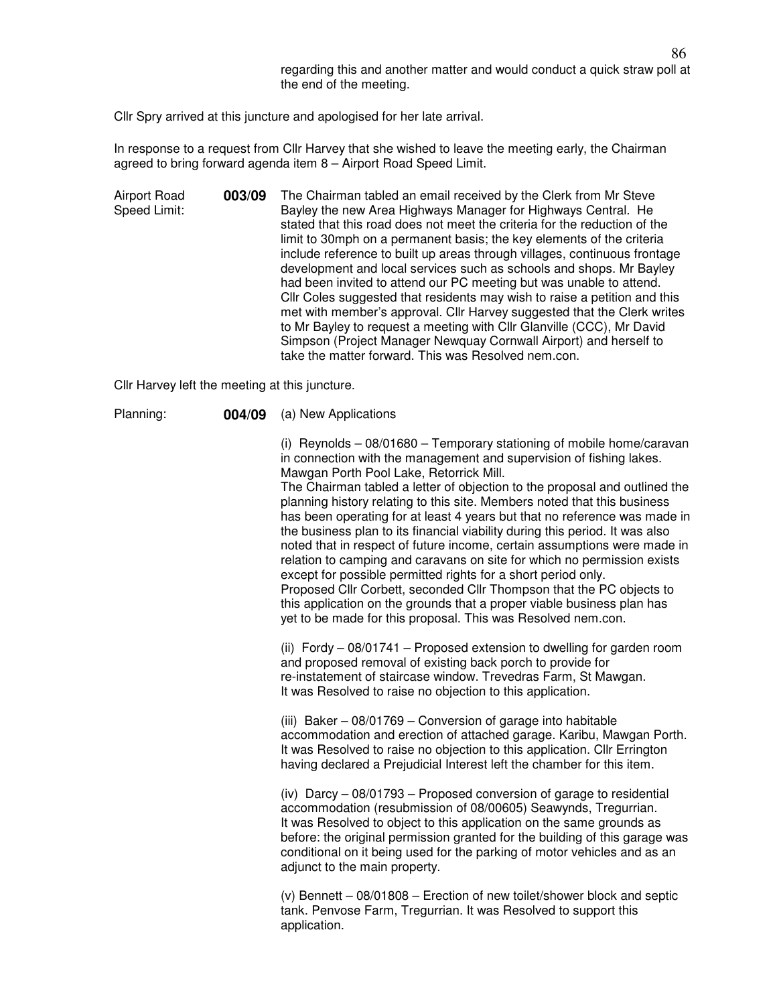Cllr Spry arrived at this juncture and apologised for her late arrival.

In response to a request from Cllr Harvey that she wished to leave the meeting early, the Chairman agreed to bring forward agenda item 8 – Airport Road Speed Limit.

Airport Road Speed Limit: **003/09** The Chairman tabled an email received by the Clerk from Mr Steve Bayley the new Area Highways Manager for Highways Central. He stated that this road does not meet the criteria for the reduction of the limit to 30mph on a permanent basis; the key elements of the criteria include reference to built up areas through villages, continuous frontage development and local services such as schools and shops. Mr Bayley had been invited to attend our PC meeting but was unable to attend. Cllr Coles suggested that residents may wish to raise a petition and this met with member's approval. Cllr Harvey suggested that the Clerk writes to Mr Bayley to request a meeting with Cllr Glanville (CCC), Mr David Simpson (Project Manager Newquay Cornwall Airport) and herself to take the matter forward. This was Resolved nem.con.

Cllr Harvey left the meeting at this juncture.

| Planning: | 004/09 | (a) New Applications |
|-----------|--------|----------------------|
|-----------|--------|----------------------|

(i) Reynolds – 08/01680 – Temporary stationing of mobile home/caravan in connection with the management and supervision of fishing lakes. Mawgan Porth Pool Lake, Retorrick Mill.

The Chairman tabled a letter of objection to the proposal and outlined the planning history relating to this site. Members noted that this business has been operating for at least 4 years but that no reference was made in the business plan to its financial viability during this period. It was also noted that in respect of future income, certain assumptions were made in relation to camping and caravans on site for which no permission exists except for possible permitted rights for a short period only. Proposed Cllr Corbett, seconded Cllr Thompson that the PC objects to this application on the grounds that a proper viable business plan has yet to be made for this proposal. This was Resolved nem.con.

(ii) Fordy – 08/01741 – Proposed extension to dwelling for garden room and proposed removal of existing back porch to provide for re-instatement of staircase window. Trevedras Farm, St Mawgan. It was Resolved to raise no objection to this application.

(iii) Baker – 08/01769 – Conversion of garage into habitable accommodation and erection of attached garage. Karibu, Mawgan Porth. It was Resolved to raise no objection to this application. Cllr Errington having declared a Prejudicial Interest left the chamber for this item.

(iv) Darcy – 08/01793 – Proposed conversion of garage to residential accommodation (resubmission of 08/00605) Seawynds, Tregurrian. It was Resolved to object to this application on the same grounds as before: the original permission granted for the building of this garage was conditional on it being used for the parking of motor vehicles and as an adjunct to the main property.

(v) Bennett – 08/01808 – Erection of new toilet/shower block and septic tank. Penvose Farm, Tregurrian. It was Resolved to support this application.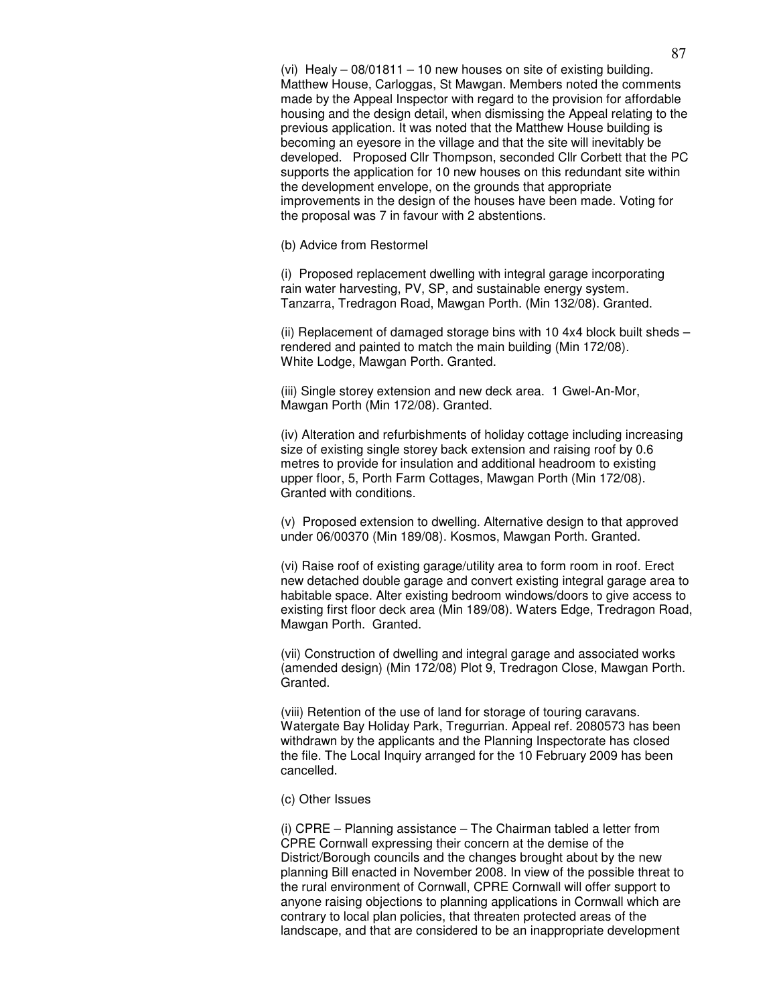(vi) Healy – 08/01811 – 10 new houses on site of existing building. Matthew House, Carloggas, St Mawgan. Members noted the comments made by the Appeal Inspector with regard to the provision for affordable housing and the design detail, when dismissing the Appeal relating to the previous application. It was noted that the Matthew House building is becoming an eyesore in the village and that the site will inevitably be developed. Proposed Cllr Thompson, seconded Cllr Corbett that the PC supports the application for 10 new houses on this redundant site within the development envelope, on the grounds that appropriate improvements in the design of the houses have been made. Voting for the proposal was 7 in favour with 2 abstentions.

(b) Advice from Restormel

(i) Proposed replacement dwelling with integral garage incorporating rain water harvesting, PV, SP, and sustainable energy system. Tanzarra, Tredragon Road, Mawgan Porth. (Min 132/08). Granted.

(ii) Replacement of damaged storage bins with 10 4x4 block built sheds  $$ rendered and painted to match the main building (Min 172/08). White Lodge, Mawgan Porth. Granted.

(iii) Single storey extension and new deck area. 1 Gwel-An-Mor, Mawgan Porth (Min 172/08). Granted.

(iv) Alteration and refurbishments of holiday cottage including increasing size of existing single storey back extension and raising roof by 0.6 metres to provide for insulation and additional headroom to existing upper floor, 5, Porth Farm Cottages, Mawgan Porth (Min 172/08). Granted with conditions.

(v) Proposed extension to dwelling. Alternative design to that approved under 06/00370 (Min 189/08). Kosmos, Mawgan Porth. Granted.

(vi) Raise roof of existing garage/utility area to form room in roof. Erect new detached double garage and convert existing integral garage area to habitable space. Alter existing bedroom windows/doors to give access to existing first floor deck area (Min 189/08). Waters Edge, Tredragon Road, Mawgan Porth. Granted.

(vii) Construction of dwelling and integral garage and associated works (amended design) (Min 172/08) Plot 9, Tredragon Close, Mawgan Porth. Granted.

(viii) Retention of the use of land for storage of touring caravans. Watergate Bay Holiday Park, Tregurrian. Appeal ref. 2080573 has been withdrawn by the applicants and the Planning Inspectorate has closed the file. The Local Inquiry arranged for the 10 February 2009 has been cancelled.

## (c) Other Issues

(i) CPRE – Planning assistance – The Chairman tabled a letter from CPRE Cornwall expressing their concern at the demise of the District/Borough councils and the changes brought about by the new planning Bill enacted in November 2008. In view of the possible threat to the rural environment of Cornwall, CPRE Cornwall will offer support to anyone raising objections to planning applications in Cornwall which are contrary to local plan policies, that threaten protected areas of the landscape, and that are considered to be an inappropriate development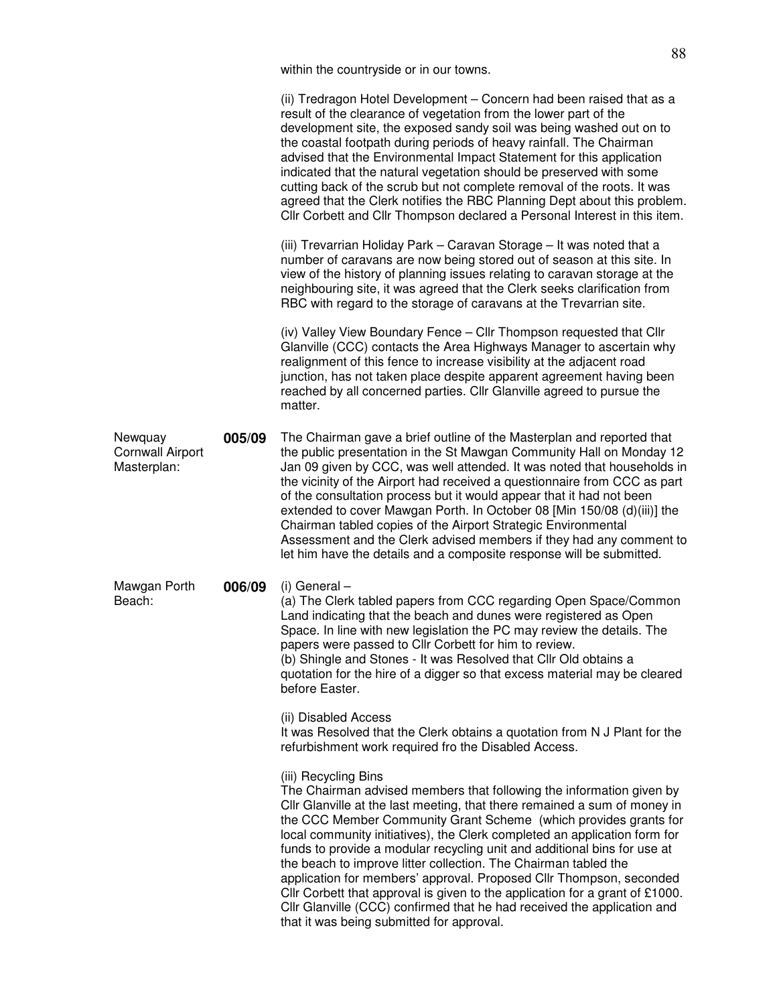within the countryside or in our towns.

|                                                   |        | (ii) Tredragon Hotel Development - Concern had been raised that as a<br>result of the clearance of vegetation from the lower part of the<br>development site, the exposed sandy soil was being washed out on to<br>the coastal footpath during periods of heavy rainfall. The Chairman<br>advised that the Environmental Impact Statement for this application<br>indicated that the natural vegetation should be preserved with some<br>cutting back of the scrub but not complete removal of the roots. It was<br>agreed that the Clerk notifies the RBC Planning Dept about this problem.<br>Cllr Corbett and Cllr Thompson declared a Personal Interest in this item.                                                                                |
|---------------------------------------------------|--------|----------------------------------------------------------------------------------------------------------------------------------------------------------------------------------------------------------------------------------------------------------------------------------------------------------------------------------------------------------------------------------------------------------------------------------------------------------------------------------------------------------------------------------------------------------------------------------------------------------------------------------------------------------------------------------------------------------------------------------------------------------|
|                                                   |        | (iii) Trevarrian Holiday Park - Caravan Storage - It was noted that a<br>number of caravans are now being stored out of season at this site. In<br>view of the history of planning issues relating to caravan storage at the<br>neighbouring site, it was agreed that the Clerk seeks clarification from<br>RBC with regard to the storage of caravans at the Trevarrian site.                                                                                                                                                                                                                                                                                                                                                                           |
|                                                   |        | (iv) Valley View Boundary Fence - Cllr Thompson requested that Cllr<br>Glanville (CCC) contacts the Area Highways Manager to ascertain why<br>realignment of this fence to increase visibility at the adjacent road<br>junction, has not taken place despite apparent agreement having been<br>reached by all concerned parties. Cllr Glanville agreed to pursue the<br>matter.                                                                                                                                                                                                                                                                                                                                                                          |
| Newquay<br><b>Cornwall Airport</b><br>Masterplan: | 005/09 | The Chairman gave a brief outline of the Masterplan and reported that<br>the public presentation in the St Mawgan Community Hall on Monday 12<br>Jan 09 given by CCC, was well attended. It was noted that households in<br>the vicinity of the Airport had received a questionnaire from CCC as part<br>of the consultation process but it would appear that it had not been<br>extended to cover Mawgan Porth. In October 08 [Min 150/08 (d)(iii)] the<br>Chairman tabled copies of the Airport Strategic Environmental<br>Assessment and the Clerk advised members if they had any comment to<br>let him have the details and a composite response will be submitted.                                                                                 |
| Mawgan Porth<br>Beach:                            | 006/09 | $(i)$ General $-$<br>(a) The Clerk tabled papers from CCC regarding Open Space/Common<br>Land indicating that the beach and dunes were registered as Open<br>Space. In line with new legislation the PC may review the details. The<br>papers were passed to Cllr Corbett for him to review.<br>(b) Shingle and Stones - It was Resolved that Cllr Old obtains a<br>quotation for the hire of a digger so that excess material may be cleared<br>before Easter.                                                                                                                                                                                                                                                                                          |
|                                                   |        | (ii) Disabled Access<br>It was Resolved that the Clerk obtains a quotation from N J Plant for the<br>refurbishment work required fro the Disabled Access.                                                                                                                                                                                                                                                                                                                                                                                                                                                                                                                                                                                                |
|                                                   |        | (iii) Recycling Bins<br>The Chairman advised members that following the information given by<br>Cllr Glanville at the last meeting, that there remained a sum of money in<br>the CCC Member Community Grant Scheme (which provides grants for<br>local community initiatives), the Clerk completed an application form for<br>funds to provide a modular recycling unit and additional bins for use at<br>the beach to improve litter collection. The Chairman tabled the<br>application for members' approval. Proposed Cllr Thompson, seconded<br>Cllr Corbett that approval is given to the application for a grant of £1000.<br>Cllr Glanville (CCC) confirmed that he had received the application and<br>that it was being submitted for approval. |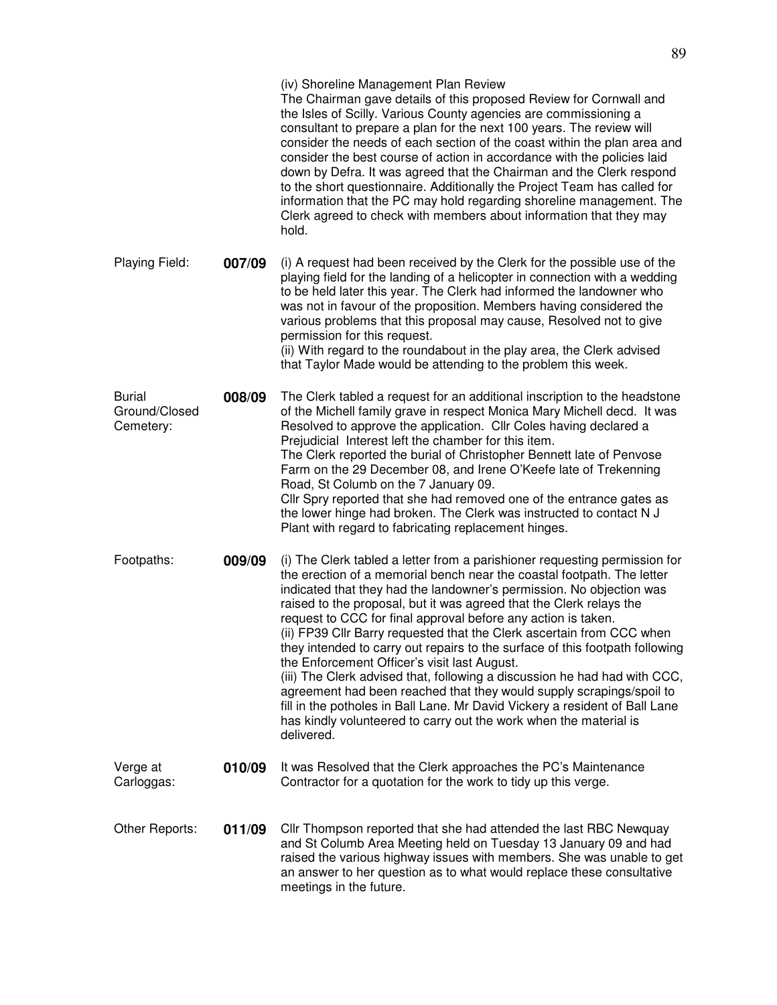|                                             |        | (iv) Shoreline Management Plan Review<br>The Chairman gave details of this proposed Review for Cornwall and<br>the Isles of Scilly. Various County agencies are commissioning a<br>consultant to prepare a plan for the next 100 years. The review will<br>consider the needs of each section of the coast within the plan area and<br>consider the best course of action in accordance with the policies laid<br>down by Defra. It was agreed that the Chairman and the Clerk respond<br>to the short questionnaire. Additionally the Project Team has called for<br>information that the PC may hold regarding shoreline management. The<br>Clerk agreed to check with members about information that they may<br>hold.                                                                                                                                                                            |
|---------------------------------------------|--------|------------------------------------------------------------------------------------------------------------------------------------------------------------------------------------------------------------------------------------------------------------------------------------------------------------------------------------------------------------------------------------------------------------------------------------------------------------------------------------------------------------------------------------------------------------------------------------------------------------------------------------------------------------------------------------------------------------------------------------------------------------------------------------------------------------------------------------------------------------------------------------------------------|
| Playing Field:                              | 007/09 | (i) A request had been received by the Clerk for the possible use of the<br>playing field for the landing of a helicopter in connection with a wedding<br>to be held later this year. The Clerk had informed the landowner who<br>was not in favour of the proposition. Members having considered the<br>various problems that this proposal may cause, Resolved not to give<br>permission for this request.<br>(ii) With regard to the roundabout in the play area, the Clerk advised<br>that Taylor Made would be attending to the problem this week.                                                                                                                                                                                                                                                                                                                                              |
| <b>Burial</b><br>Ground/Closed<br>Cemetery: | 008/09 | The Clerk tabled a request for an additional inscription to the headstone<br>of the Michell family grave in respect Monica Mary Michell decd. It was<br>Resolved to approve the application. Cllr Coles having declared a<br>Prejudicial Interest left the chamber for this item.<br>The Clerk reported the burial of Christopher Bennett late of Penvose<br>Farm on the 29 December 08, and Irene O'Keefe late of Trekenning<br>Road, St Columb on the 7 January 09.<br>Cllr Spry reported that she had removed one of the entrance gates as<br>the lower hinge had broken. The Clerk was instructed to contact N J<br>Plant with regard to fabricating replacement hinges.                                                                                                                                                                                                                         |
| Footpaths:                                  | 009/09 | (i) The Clerk tabled a letter from a parishioner requesting permission for<br>the erection of a memorial bench near the coastal footpath. The letter<br>indicated that they had the landowner's permission. No objection was<br>raised to the proposal, but it was agreed that the Clerk relays the<br>request to CCC for final approval before any action is taken.<br>(ii) FP39 Cllr Barry requested that the Clerk ascertain from CCC when<br>they intended to carry out repairs to the surface of this footpath following<br>the Enforcement Officer's visit last August.<br>(iii) The Clerk advised that, following a discussion he had had with CCC,<br>agreement had been reached that they would supply scrapings/spoil to<br>fill in the potholes in Ball Lane. Mr David Vickery a resident of Ball Lane<br>has kindly volunteered to carry out the work when the material is<br>delivered. |
| Verge at<br>Carloggas:                      | 010/09 | It was Resolved that the Clerk approaches the PC's Maintenance<br>Contractor for a quotation for the work to tidy up this verge.                                                                                                                                                                                                                                                                                                                                                                                                                                                                                                                                                                                                                                                                                                                                                                     |
| Other Reports:                              | 011/09 | Cllr Thompson reported that she had attended the last RBC Newquay<br>and St Columb Area Meeting held on Tuesday 13 January 09 and had<br>raised the various highway issues with members. She was unable to get<br>an answer to her question as to what would replace these consultative<br>meetings in the future.                                                                                                                                                                                                                                                                                                                                                                                                                                                                                                                                                                                   |